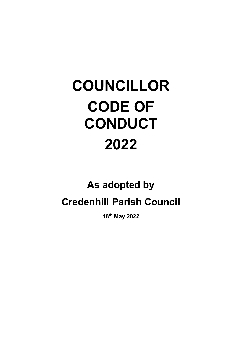# COUNCILLOR CODE OF **CONDUCT** 2022

# As adopted by Credenhill Parish Council

18th May 2022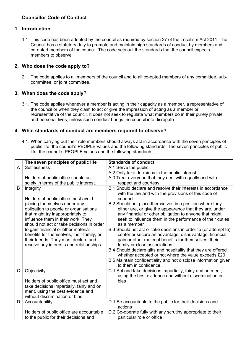## Councillor Code of Conduct

#### 1. Introduction

1.1. This code has been adopted by the council as required by section 27 of the Localism Act 2011. The Council has a statutory duty to promote and maintain high standards of conduct by members and co-opted members of the council. The code sets out the standards that the council expects members to observe.

#### 2. Who does the code apply to?

2.1. The code applies to all members of the council and to all co-opted members of any committee, subcommittee, or joint committee.

#### 3. When does the code apply?

3.1. The code applies whenever a member is acting in their capacity as a member, a representative of the council or when they claim to act or give the impression of acting as a member or representative of the council. It does not seek to regulate what members do in their purely private and personal lives, unless such conduct brings the council into disrepute.

#### 4. What standards of conduct are members required to observe?

4.1. When carrying out their role members should always act in accordance with the seven principles of public life, the council's PEOPLE values and the following standards: The seven principles of public life, the council's PEOPLE values and the following standards;

|              | The seven principles of public life                                                                                                                                                                                                                                                                                                                                   | <b>Standards of conduct</b>                                                                                                                                                                                                                                                                                                                                                                                                                                                                                                                                                                                                                                                  |  |  |  |
|--------------|-----------------------------------------------------------------------------------------------------------------------------------------------------------------------------------------------------------------------------------------------------------------------------------------------------------------------------------------------------------------------|------------------------------------------------------------------------------------------------------------------------------------------------------------------------------------------------------------------------------------------------------------------------------------------------------------------------------------------------------------------------------------------------------------------------------------------------------------------------------------------------------------------------------------------------------------------------------------------------------------------------------------------------------------------------------|--|--|--|
| A            | <b>Selflessness</b>                                                                                                                                                                                                                                                                                                                                                   | A.1 Serve the public                                                                                                                                                                                                                                                                                                                                                                                                                                                                                                                                                                                                                                                         |  |  |  |
|              |                                                                                                                                                                                                                                                                                                                                                                       | A.2 Only take decisions in the public interest                                                                                                                                                                                                                                                                                                                                                                                                                                                                                                                                                                                                                               |  |  |  |
|              | Holders of public office should act                                                                                                                                                                                                                                                                                                                                   | A.3 Treat everyone that they deal with equally and with                                                                                                                                                                                                                                                                                                                                                                                                                                                                                                                                                                                                                      |  |  |  |
|              | solely in terms of the public interest.                                                                                                                                                                                                                                                                                                                               | respect and courtesy                                                                                                                                                                                                                                                                                                                                                                                                                                                                                                                                                                                                                                                         |  |  |  |
| B            | Integrity<br>Holders of public office must avoid                                                                                                                                                                                                                                                                                                                      | B.1 Should declare and resolve their interests in accordance<br>with the law and with the provisions of this code of<br>conduct.                                                                                                                                                                                                                                                                                                                                                                                                                                                                                                                                             |  |  |  |
|              | placing themselves under any<br>obligation to people or organisations<br>that might try inappropriately to<br>influence them in their work. They<br>should not act or take decisions in order<br>to gain financial or other material<br>benefits for themselves, their family, or<br>their friends. They must declare and<br>resolve any interests and relationships. | B.2 Should not place themselves in a position where they<br>either are, or give the appearance that they are, under<br>any financial or other obligation to anyone that might<br>seek to influence them in the performance of their duties<br>as a member<br>B.3 Should not act or take decisions in order to (or attempt to)<br>confer or secure an advantage, disadvantage, financial<br>gain or other material benefits for themselves, their<br>family or close associations<br>B.4 Should declare gifts and hospitality that they are offered<br>whether accepted or not where the value exceeds £20<br>B.5 Maintain confidentiality and not disclose information given |  |  |  |
|              |                                                                                                                                                                                                                                                                                                                                                                       | to them in confidence.                                                                                                                                                                                                                                                                                                                                                                                                                                                                                                                                                                                                                                                       |  |  |  |
| $\mathsf{C}$ | Objectivity                                                                                                                                                                                                                                                                                                                                                           | C.1 Act and take decisions impartially, fairly and on merit,<br>using the best evidence and without discrimination or                                                                                                                                                                                                                                                                                                                                                                                                                                                                                                                                                        |  |  |  |
|              | Holders of public office must act and<br>take decisions impartially, fairly and on<br>merit, using the best evidence and<br>without discrimination or bias                                                                                                                                                                                                            | bias                                                                                                                                                                                                                                                                                                                                                                                                                                                                                                                                                                                                                                                                         |  |  |  |
| D            | Accountability                                                                                                                                                                                                                                                                                                                                                        | D.1 Be accountable to the public for their decisions and<br>actions                                                                                                                                                                                                                                                                                                                                                                                                                                                                                                                                                                                                          |  |  |  |
|              | Holders of public office are accountable                                                                                                                                                                                                                                                                                                                              | D.2 Co-operate fully with any scrutiny appropriate to their                                                                                                                                                                                                                                                                                                                                                                                                                                                                                                                                                                                                                  |  |  |  |
|              | to the public for their decisions and                                                                                                                                                                                                                                                                                                                                 | particular role or office                                                                                                                                                                                                                                                                                                                                                                                                                                                                                                                                                                                                                                                    |  |  |  |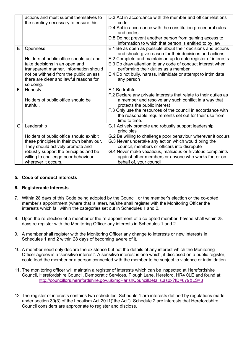|   | actions and must submit themselves to           | D.3 Act in accordance with the member and officer relations<br>code                                                                                      |
|---|-------------------------------------------------|----------------------------------------------------------------------------------------------------------------------------------------------------------|
|   | the scrutiny necessary to ensure this.          | D.4 Act in accordance with the constitution procedural rules<br>and codes                                                                                |
|   |                                                 | D.5 Do not prevent another person from gaining access to<br>information to which that person is entitled to by law                                       |
| E | <b>Openness</b>                                 | E.1 Be as open as possible about their decisions and actions<br>and should give reason for their decisions and actions                                   |
|   | Holders of public office should act and         | E.2 Complete and maintain an up to date register of interests                                                                                            |
|   | take decisions in an open and                   | E.3 Do draw attention to any code of conduct interest when                                                                                               |
|   | transparent manner. Information should          | performing their duties as a member                                                                                                                      |
|   | not be withheld from the public unless          | E.4 Do not bully, harass, intimidate or attempt to intimidate                                                                                            |
|   | there are clear and lawful reasons for          | any person                                                                                                                                               |
|   | so doing.                                       |                                                                                                                                                          |
| F | Honesty                                         | F.1 Be truthful                                                                                                                                          |
|   | Holders of public office should be<br>truthful. | F.2 Declare any private interests that relate to their duties as<br>a member and resolve any such conflict in a way that<br>protects the public interest |
|   |                                                 | F.3 Only use the resources of the council in accordance with                                                                                             |
|   |                                                 | the reasonable requirements set out for their use from<br>time to time.                                                                                  |
| G | Leadership                                      | G.1 Actively promote and robustly support leadership<br>principles                                                                                       |
|   | Holders of public office should exhibit         | G.2 Be willing to challenge poor behaviour wherever it occurs                                                                                            |
|   | these principles in their own behaviour.        | G.3 Never undertake any action which would bring the                                                                                                     |
|   | They should actively promote and                | council, members or officers into disrepute                                                                                                              |
|   | robustly support the principles and be          | G.4 Never make vexatious, malicious or frivolous complaints                                                                                              |
|   | willing to challenge poor behaviour             | against other members or anyone who works for, or on                                                                                                     |
|   | wherever it occurs.                             | behalf of, your council.                                                                                                                                 |

#### 5. Code of conduct interests

#### 6. Registerable Interests

- 7. Within 28 days of this Code being adopted by the Council, or the member's election or the co-opted member's appointment (where that is later), he/she shall register with the Monitoring Officer the interests which fall within the categories set out in Schedules 1 and 2.
- 8. Upon the re-election of a member or the re-appointment of a co-opted member, he/she shall within 28 days re-register with the Monitoring Officer any interests in Schedules 1 and 2.
- 9. A member shall register with the Monitoring Officer any change to interests or new interests in Schedules 1 and 2 within 28 days of becoming aware of it.
- 10. A member need only declare the existence but not the details of any interest which the Monitoring Officer agrees is a 'sensitive interest'. A sensitive interest is one which, if disclosed on a public register, could lead the member or a person connected with the member to be subject to violence or intimidation.
- 11. The monitoring officer will maintain a register of interests which can be inspected at Herefordshire Council, Herefordshire Council, Democratic Services, Plough Lane, Hereford, HR4 0LE and found at: http://councillors.herefordshire.gov.uk/mgParishCouncilDetails.aspx?ID=679&LS=3
- 12. The register of interests contains two schedules. Schedule 1 are interests defined by regulations made under section 30(3) of the Localism Act 2011("the Act"), Schedule 2 are interests that Herefordshire Council considers are appropriate to register and disclose.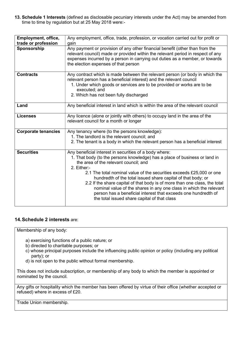13. Schedule 1 Interests (defined as disclosable pecuniary interests under the Act) may be amended from time to time by regulation but at 25 May 2018 were:-

| Employment, office,<br>trade or profession | Any employment, office, trade, profession, or vocation carried out for profit or<br>gain                                                                                                                                                                                                                                                                                                                                                                                                                                                                                                                   |  |  |  |
|--------------------------------------------|------------------------------------------------------------------------------------------------------------------------------------------------------------------------------------------------------------------------------------------------------------------------------------------------------------------------------------------------------------------------------------------------------------------------------------------------------------------------------------------------------------------------------------------------------------------------------------------------------------|--|--|--|
| Sponsorship                                | Any payment or provision of any other financial benefit (other than from the<br>relevant council) made or provided within the relevant period in respect of any<br>expenses incurred by a person in carrying out duties as a member, or towards<br>the election expenses of that person                                                                                                                                                                                                                                                                                                                    |  |  |  |
| <b>Contracts</b>                           | Any contract which is made between the relevant person (or body in which the<br>relevant person has a beneficial interest) and the relevant council<br>1. Under which goods or services are to be provided or works are to be<br>executed; and<br>2. Which has not been fully discharged                                                                                                                                                                                                                                                                                                                   |  |  |  |
| Land                                       | Any beneficial interest in land which is within the area of the relevant council                                                                                                                                                                                                                                                                                                                                                                                                                                                                                                                           |  |  |  |
| <b>Licenses</b>                            | Any licence (alone or jointly with others) to occupy land in the area of the<br>relevant council for a month or longer                                                                                                                                                                                                                                                                                                                                                                                                                                                                                     |  |  |  |
| <b>Corporate tenancies</b>                 | Any tenancy where (to the persons knowledge):<br>1. The landlord is the relevant council; and<br>2. The tenant is a body in which the relevant person has a beneficial interest                                                                                                                                                                                                                                                                                                                                                                                                                            |  |  |  |
| <b>Securities</b>                          | Any beneficial interest in securities of a body where:<br>1. That body (to the persons knowledge) has a place of business or land in<br>the area of the relevant council; and<br>2. Either:-<br>2.1 The total nominal value of the securities exceeds £25,000 or one<br>hundredth of the total issued share capital of that body; or<br>2.2 If the share capital of that body is of more than one class, the total<br>nominal value of the shares in any one class in which the relevant<br>person has a beneficial interest that exceeds one hundredth of<br>the total issued share capital of that class |  |  |  |

#### 14. Schedule 2 interests are:

Membership of any body:

- a) exercising functions of a public nature; or
- b) directed to charitable purposes; or
- c) whose principal purposes include the influencing public opinion or policy (including any political party); or
- d) is not open to the public without formal membership.

This does not include subscription, or membership of any body to which the member is appointed or nominated by the council.

Any gifts or hospitality which the member has been offered by virtue of their office (whether accepted or refused) where in excess of £20.

Trade Union membership.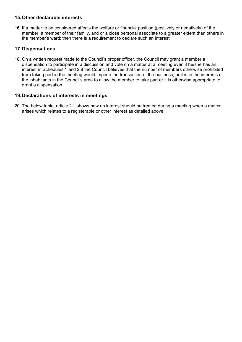#### 15. Other declarable interests

16. If a matter to be considered affects the welfare or financial position (positively or negatively) of the member, a member of their family, and or a close personal associate to a greater extent than others in the member's ward: then there is a requirement to declare such an interest.

## 17. Dispensations

18. On a written request made to the Council's proper officer, the Council may grant a member a dispensation to participate in a discussion and vote on a matter at a meeting even if he/she has an interest in Schedules 1 and 2 if the Council believes that the number of members otherwise prohibited from taking part in the meeting would impede the transaction of the business; or it is in the interests of the inhabitants in the Council's area to allow the member to take part or it is otherwise appropriate to grant a dispensation.

#### 19. Declarations of interests in meetings

20. The below table, article 21, shows how an interest should be treated during a meeting when a matter arises which relates to a registerable or other interest as detailed above.